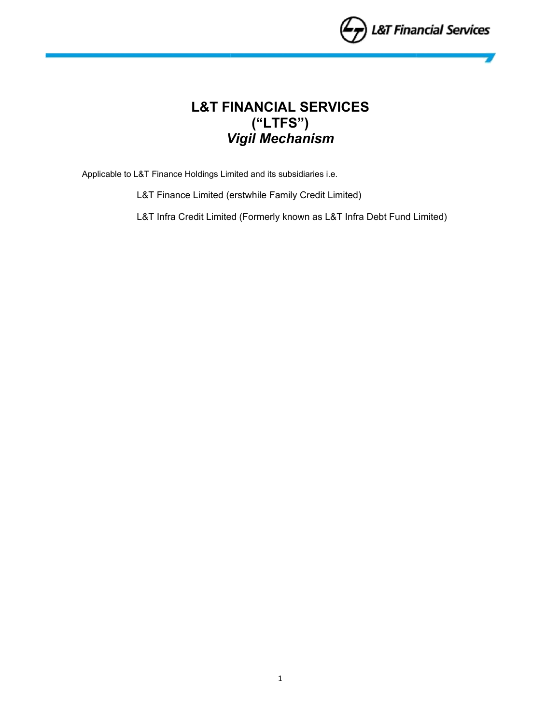

# **L&T FINANCIAL SERVICES ("LTFS")**  *Vigil Mechanism*

Applicable to L&T Finance Holdings Limited and its subsidiaries i.e.

L&T Finance Limited (erstwhile Family Credit Limited)

L&T Infra Credit Limited (Formerly known as L&T Infra Debt Fund Limited)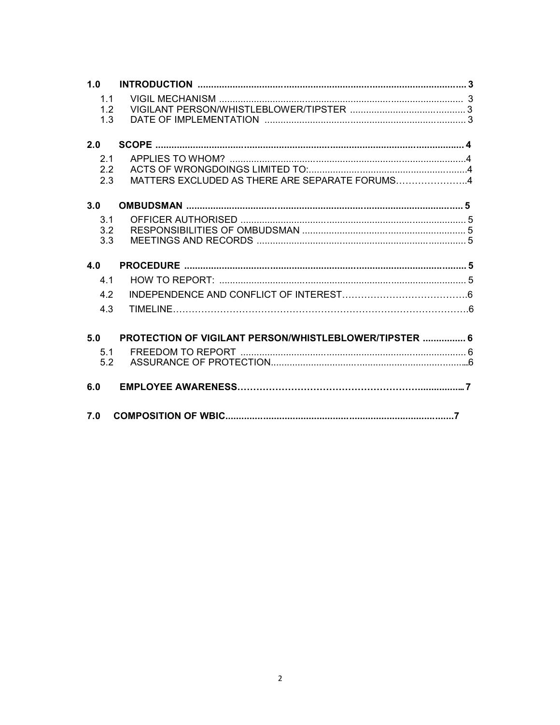| 1.0            |                                                        |  |
|----------------|--------------------------------------------------------|--|
| 1 <sub>1</sub> |                                                        |  |
| 1.2            |                                                        |  |
| 1.3            |                                                        |  |
|                |                                                        |  |
| 2.0            |                                                        |  |
| 2.1            |                                                        |  |
| 2.2            |                                                        |  |
| 2.3            | MATTERS EXCLUDED AS THERE ARE SEPARATE FORUMS4         |  |
|                |                                                        |  |
| 3.0            |                                                        |  |
| 3.1            |                                                        |  |
| 3.2            |                                                        |  |
| 3.3            |                                                        |  |
|                |                                                        |  |
| 4.0            |                                                        |  |
| 4 <sub>1</sub> |                                                        |  |
| 4.2            |                                                        |  |
| 4.3            |                                                        |  |
|                |                                                        |  |
| 5.0            | PROTECTION OF VIGILANT PERSON/WHISTLEBLOWER/TIPSTER  6 |  |
| 5.1            |                                                        |  |
| 5.2            |                                                        |  |
|                |                                                        |  |
| 6.0            |                                                        |  |
|                |                                                        |  |
| 7.0            |                                                        |  |
|                |                                                        |  |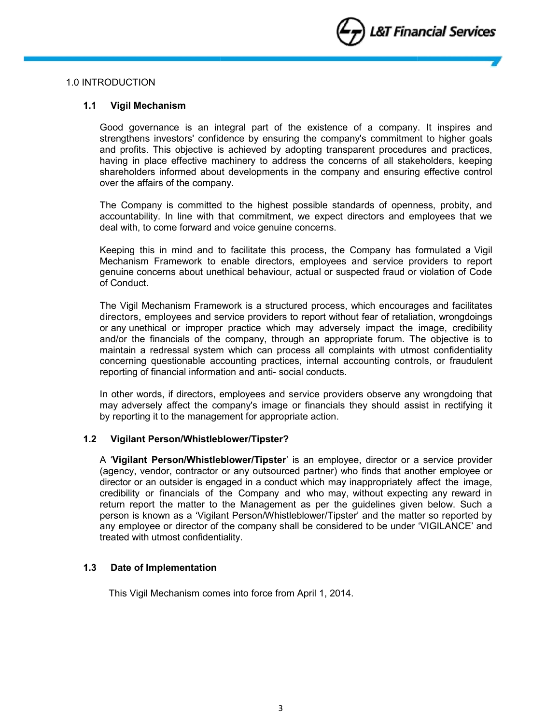

## 1.0 INTRODUCTION

## **1.1 Vigil Mechanism**

Good governance is an integral part of the existence of a company. It inspires and strengthens investors' confidence by ensuring the company's commitment to higher goals and profits. This objective is achieved by adopting transparent procedures and practices, having in place effective machinery to address the concerns of all stakeholders, keeping shareholders informed about developments in the company and ensuring effective control over the affairs of the company.

The Company is committed to the highest possible standards of openness, probity, and accountability. In line with that commitment, we expect directors and employees that we deal with, to come forward and voice genuine concerns.

Keeping this in mind and to facilitate this process, the Company has formulated a Vigil Mechanism Framework to enable directors, employees and service providers to report genuine concerns about unethical behaviour, actual or suspected fraud or violation of Code of Conduct.

The Vigil Mechanism Framework is a structured process, which encourages and facilitates directors, employees and service providers to report without fear of retaliation, wrongdoings or any unethical or improper practice which may adversely impact the image, credibility and/or the financials of the company, through an appropriate forum. The objective is to maintain a redressal system which can process all complaints with utmost confidentiality concerning questionable accounting practices, internal accounting controls, or fraudulent reporting of financial information and anti- social conducts.

In other words, if directors, employees and service providers observe any wrongdoing that may adversely affect the company's image or financials they should assist in rectifying it by reporting it to the management for appropriate action.

#### **1.2 Vigilant Person/Whistleblower/Tipster?**

A '**Vigilant Person/Whistleblower/Tipster**' is an employee, director or a service provider (agency, vendor, contractor or any outsourced partner) who finds that another employee or director or an outsider is engaged in a conduct which may inappropriately affect the image, credibility or financials of the Company and who may, without expecting any reward in return report the matter to the Management as per the guidelines given below. Such a person is known as a 'Vigilant Person/Whistleblower/Tipster' and the matter so reported by any employee or director of the company shall be considered to be under 'VIGILANCE' and treated with utmost confidentiality.

#### **1.3 Date of Implementation**

This Vigil Mechanism comes into force from April 1, 2014.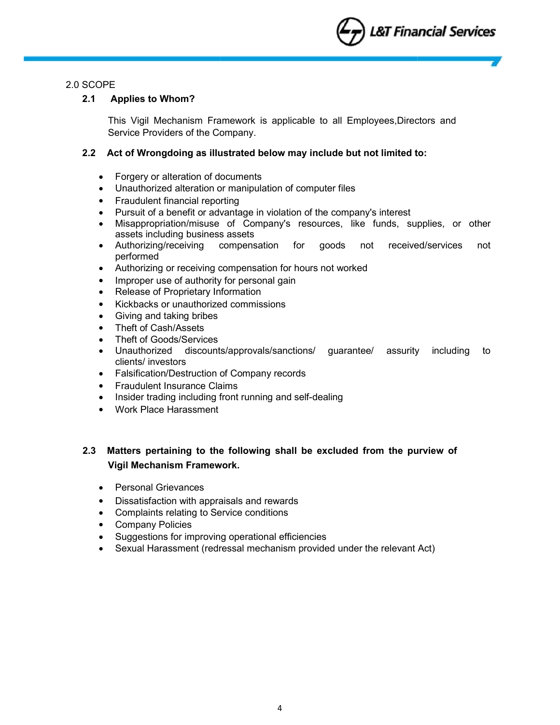

## 2.0 SCOPE

## **2.1 Applies to Whom?**

This Vigil Mechanism Framework is applicable to all Employees,Directors and Service Providers of the Company.

## **2.2 Act of Wrongdoing as illustrated below may include but not limited to:**

- Forgery or alteration of documents
- Unauthorized alteration or manipulation of computer files
- Fraudulent financial reporting
- Pursuit of a benefit or advantage in violation of the company's interest
- Misappropriation/misuse of Company's resources, like funds, supplies, or other assets including business assets
- Authorizing/receiving compensation for goods not received/services not performed
- Authorizing or receiving compensation for hours not worked
- Improper use of authority for personal gain
- Release of Proprietary Information
- Kickbacks or unauthorized commissions
- Giving and taking bribes
- Theft of Cash/Assets
- Theft of Goods/Services
- Unauthorized discounts/approvals/sanctions/ guarantee/ assurity including to clients/ investors
- Falsification/Destruction of Company records
- Fraudulent Insurance Claims
- Insider trading including front running and self-dealing
- Work Place Harassment

## **2.3 Matters pertaining to the following shall be excluded from the purview of Vigil Mechanism Framework.**

- Personal Grievances
- Dissatisfaction with appraisals and rewards
- Complaints relating to Service conditions
- Company Policies
- Suggestions for improving operational efficiencies
- Sexual Harassment (redressal mechanism provided under the relevant Act)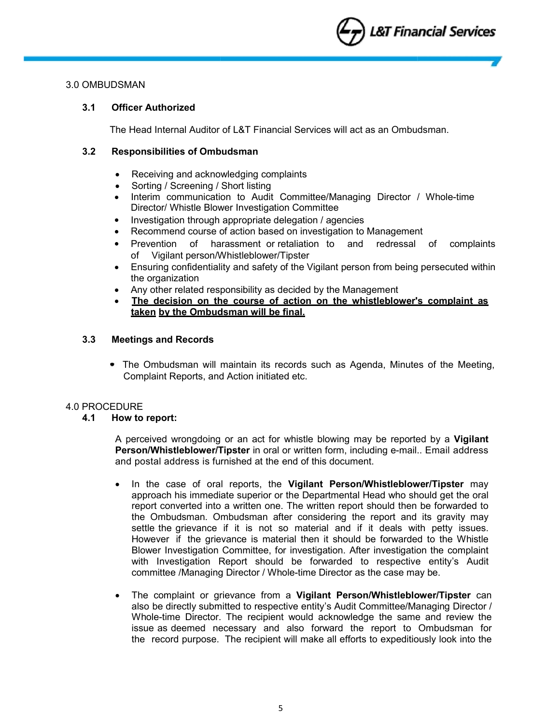

## 3.0 OMBUDSMAN

## **3.1 Officer Authorized**

The Head Internal Auditor of L&T Financial Services will act as an Ombudsman.

## **3.2 Responsibilities of Ombudsman**

- Receiving and acknowledging complaints
- Sorting / Screening / Short listing
- Interim communication to Audit Committee/Managing Director / Whole-time Director/ Whistle Blower Investigation Committee
- Investigation through appropriate delegation / agencies
- Recommend course of action based on investigation to Management
- Prevention of harassment or retaliation to and redressal of complaints of Vigilant person/Whistleblower/Tipster
- Ensuring confidentiality and safety of the Vigilant person from being persecuted within the organization
- Any other related responsibility as decided by the Management
- **The decision on the course of action on the whistleblower's complaint as taken by the Ombudsman will be final.**

## **3.3 Meetings and Records**

• The Ombudsman will maintain its records such as Agenda, Minutes of the Meeting, Complaint Reports, and Action initiated etc.

#### 4.0 PROCEDURE

## **4.1 How to report:**

A perceived wrongdoing or an act for whistle blowing may be reported by a **Vigilant Person/Whistleblower/Tipster** in oral or written form, including e-mail.. Email address and postal address is furnished at the end of this document.

- In the case of oral reports, the **Vigilant Person/Whistleblower/Tipster** may approach his immediate superior or the Departmental Head who should get the oral report converted into a written one. The written report should then be forwarded to the Ombudsman. Ombudsman after considering the report and its gravity may settle the grievance if it is not so material and if it deals with petty issues. However if the grievance is material then it should be forwarded to the Whistle Blower Investigation Committee, for investigation. After investigation the complaint with Investigation Report should be forwarded to respective entity's Audit committee /Managing Director / Whole-time Director as the case may be.
- The complaint or grievance from a **Vigilant Person/Whistleblower/Tipster** can also be directly submitted to respective entity's Audit Committee/Managing Director / Whole-time Director. The recipient would acknowledge the same and review the issue as deemed necessary and also forward the report to Ombudsman for the record purpose. The recipient will make all efforts to expeditiously look into the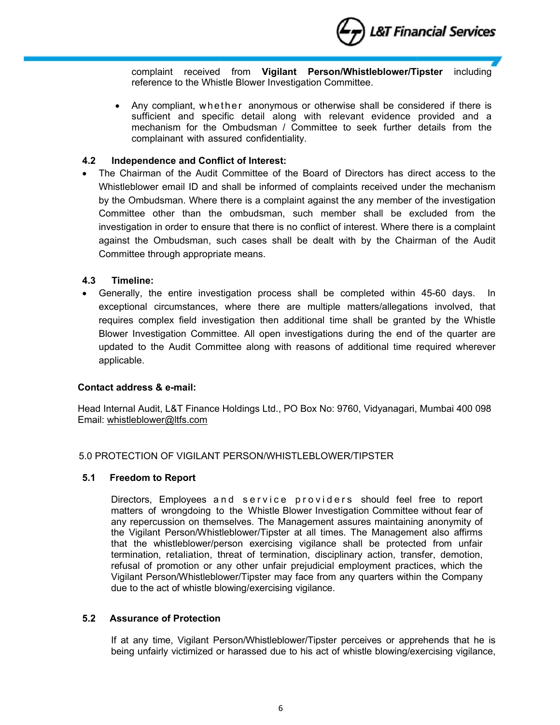

complaint received from **Vigilant Person/Whistleblower/Tipster** including reference to the Whistle Blower Investigation Committee.

• Any compliant, whether anonymous or otherwise shall be considered if there is sufficient and specific detail along with relevant evidence provided and a mechanism for the Ombudsman / Committee to seek further details from the complainant with assured confidentiality.

## **4.2 Independence and Conflict of Interest:**

 The Chairman of the Audit Committee of the Board of Directors has direct access to the Whistleblower email ID and shall be informed of complaints received under the mechanism by the Ombudsman. Where there is a complaint against the any member of the investigation Committee other than the ombudsman, such member shall be excluded from the investigation in order to ensure that there is no conflict of interest. Where there is a complaint against the Ombudsman, such cases shall be dealt with by the Chairman of the Audit Committee through appropriate means.

## **4.3 Timeline:**

 Generally, the entire investigation process shall be completed within 45-60 days. In exceptional circumstances, where there are multiple matters/allegations involved, that requires complex field investigation then additional time shall be granted by the Whistle Blower Investigation Committee. All open investigations during the end of the quarter are updated to the Audit Committee along with reasons of additional time required wherever applicable.

## **Contact address & e-mail:**

Head Internal Audit, L&T Finance Holdings Ltd., PO Box No: 9760, Vidyanagari, Mumbai 400 098 Email: whistleblower@ltfs.com

## 5.0 PROTECTION OF VIGILANT PERSON/WHISTLEBLOWER/TIPSTER

#### **5.1 Freedom to Report**

Directors, Employees and service providers should feel free to report matters of wrongdoing to the Whistle Blower Investigation Committee without fear of any repercussion on themselves. The Management assures maintaining anonymity of the Vigilant Person/Whistleblower/Tipster at all times. The Management also affirms that the whistleblower/person exercising vigilance shall be protected from unfair termination, retaliation, threat of termination, disciplinary action, transfer, demotion, refusal of promotion or any other unfair prejudicial employment practices, which the Vigilant Person/Whistleblower/Tipster may face from any quarters within the Company due to the act of whistle blowing/exercising vigilance.

## **5.2 Assurance of Protection**

If at any time, Vigilant Person/Whistleblower/Tipster perceives or apprehends that he is being unfairly victimized or harassed due to his act of whistle blowing/exercising vigilance,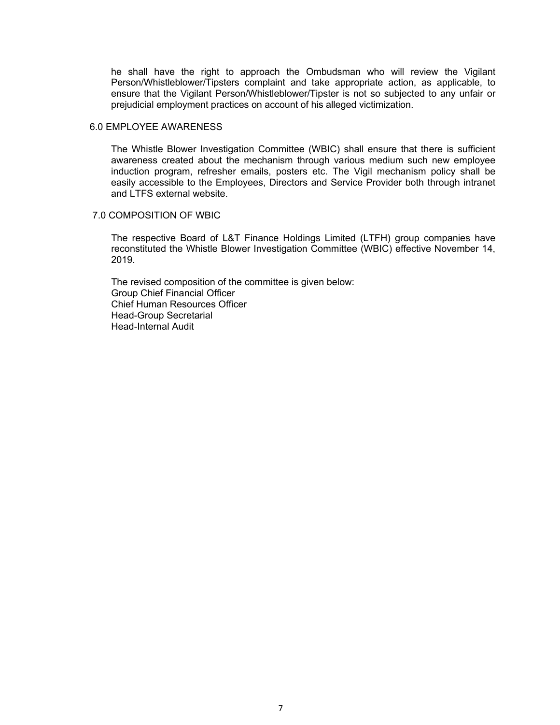he shall have the right to approach the Ombudsman who will review the Vigilant Person/Whistleblower/Tipsters complaint and take appropriate action, as applicable, to ensure that the Vigilant Person/Whistleblower/Tipster is not so subjected to any unfair or prejudicial employment practices on account of his alleged victimization.

#### 6.0 EMPLOYEE AWARENESS

The Whistle Blower Investigation Committee (WBIC) shall ensure that there is sufficient awareness created about the mechanism through various medium such new employee induction program, refresher emails, posters etc. The Vigil mechanism policy shall be easily accessible to the Employees, Directors and Service Provider both through intranet and LTFS external website.

#### 7.0 COMPOSITION OF WBIC

The respective Board of L&T Finance Holdings Limited (LTFH) group companies have reconstituted the Whistle Blower Investigation Committee (WBIC) effective November 14, 2019.

The revised composition of the committee is given below: Group Chief Financial Officer Chief Human Resources Officer Head-Group Secretarial Head-Internal Audit